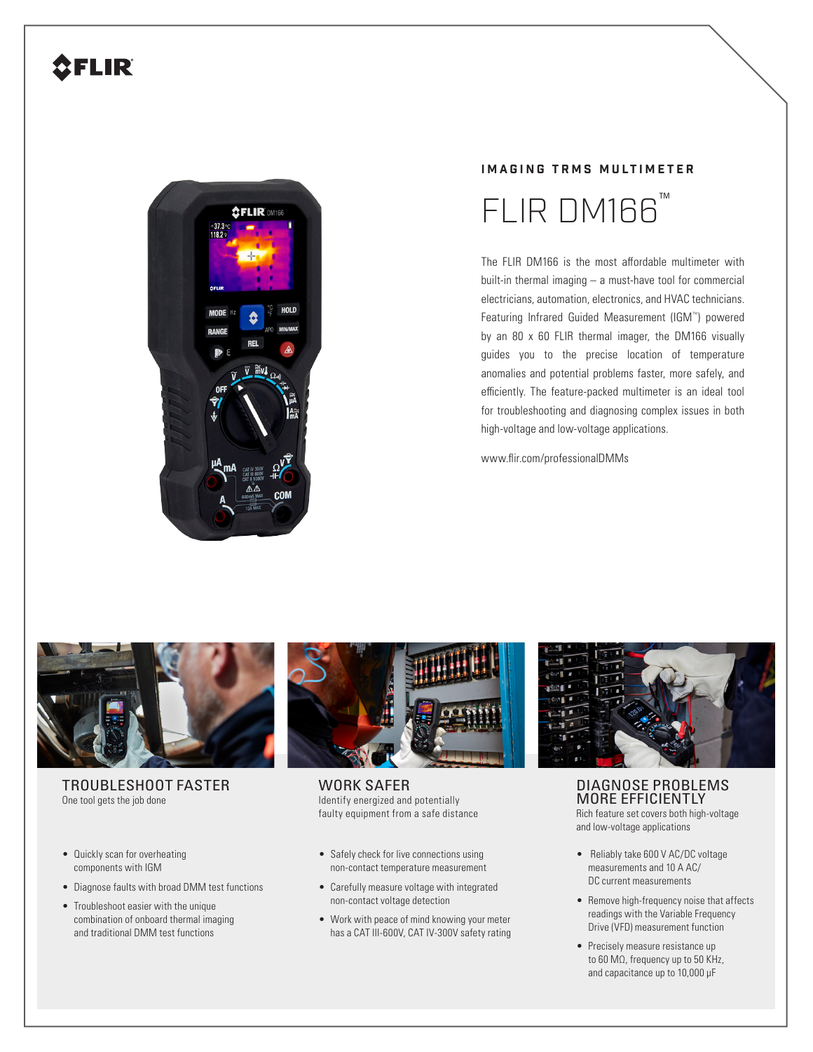## **SFLIR**



# **IMAGING TRMS MULTIMETER** FLIR DM166™

The FLIR DM166 is the most affordable multimeter with built-in thermal imaging – a must-have tool for commercial electricians, automation, electronics, and HVAC technicians. Featuring Infrared Guided Measurement (IGM™) powered by an 80 x 60 FLIR thermal imager, the DM166 visually guides you to the precise location of temperature anomalies and potential problems faster, more safely, and efficiently. The feature-packed multimeter is an ideal tool for troubleshooting and diagnosing complex issues in both high-voltage and low-voltage applications.

www.flir.com/professionalDMMs



TROUBLESHOOT FASTER One tool gets the job done

- Quickly scan for overheating components with IGM
- Diagnose faults with broad DMM test functions
- Troubleshoot easier with the unique combination of onboard thermal imaging and traditional DMM test functions



WORK SAFER Identify energized and potentially faulty equipment from a safe distance

- Safely check for live connections using non-contact temperature measurement
- Carefully measure voltage with integrated non-contact voltage detection
- Work with peace of mind knowing your meter has a CAT III-600V, CAT IV-300V safety rating



DIAGNOSE PROBLEMS MORE EFFICIENTLY Rich feature set covers both high-voltage

and low-voltage applications

- Reliably take 600 V AC/DC voltage measurements and 10 A AC/ DC current measurements
- Remove high-frequency noise that affects readings with the Variable Frequency Drive (VFD) measurement function
- Precisely measure resistance up to 60 MΩ, frequency up to 50 KHz, and capacitance up to 10,000 µF